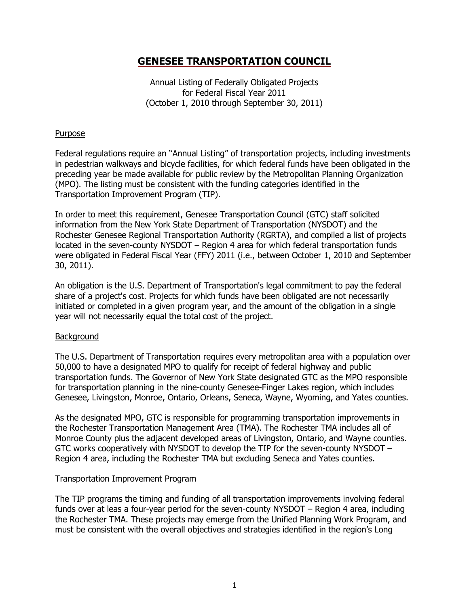# **GENESEE TRANSPORTATION COUNCIL**

Annual Listing of Federally Obligated Projects for Federal Fiscal Year 2011 (October 1, 2010 through September 30, 2011)

## **Purpose**

Federal regulations require an "Annual Listing" of transportation projects, including investments in pedestrian walkways and bicycle facilities, for which federal funds have been obligated in the preceding year be made available for public review by the Metropolitan Planning Organization (MPO). The listing must be consistent with the funding categories identified in the Transportation Improvement Program (TIP).

In order to meet this requirement, Genesee Transportation Council (GTC) staff solicited information from the New York State Department of Transportation (NYSDOT) and the Rochester Genesee Regional Transportation Authority (RGRTA), and compiled a list of projects located in the seven-county NYSDOT – Region 4 area for which federal transportation funds were obligated in Federal Fiscal Year (FFY) 2011 (i.e., between October 1, 2010 and September 30, 2011).

An obligation is the U.S. Department of Transportation's legal commitment to pay the federal share of a project's cost. Projects for which funds have been obligated are not necessarily initiated or completed in a given program year, and the amount of the obligation in a single year will not necessarily equal the total cost of the project.

### Background

The U.S. Department of Transportation requires every metropolitan area with a population over 50,000 to have a designated MPO to qualify for receipt of federal highway and public transportation funds. The Governor of New York State designated GTC as the MPO responsible for transportation planning in the nine-county Genesee-Finger Lakes region, which includes Genesee, Livingston, Monroe, Ontario, Orleans, Seneca, Wayne, Wyoming, and Yates counties.

As the designated MPO, GTC is responsible for programming transportation improvements in the Rochester Transportation Management Area (TMA). The Rochester TMA includes all of Monroe County plus the adjacent developed areas of Livingston, Ontario, and Wayne counties. GTC works cooperatively with NYSDOT to develop the TIP for the seven-county NYSDOT – Region 4 area, including the Rochester TMA but excluding Seneca and Yates counties.

### Transportation Improvement Program

The TIP programs the timing and funding of all transportation improvements involving federal funds over at leas a four-year period for the seven-county NYSDOT – Region 4 area, including the Rochester TMA. These projects may emerge from the Unified Planning Work Program, and must be consistent with the overall objectives and strategies identified in the region's Long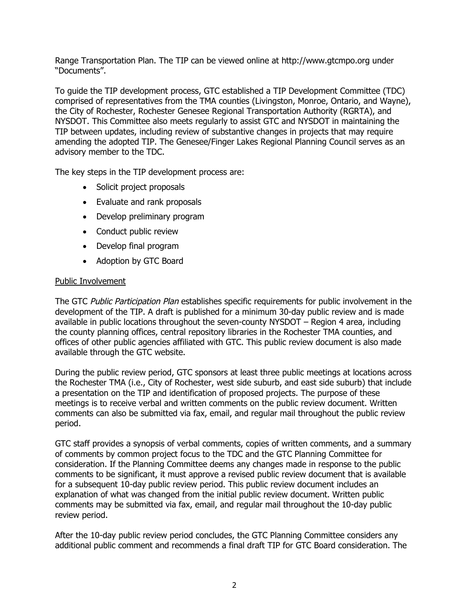Range Transportation Plan. The TIP can be viewed online at http://www.gtcmpo.org under "Documents".

To guide the TIP development process, GTC established a TIP Development Committee (TDC) comprised of representatives from the TMA counties (Livingston, Monroe, Ontario, and Wayne), the City of Rochester, Rochester Genesee Regional Transportation Authority (RGRTA), and NYSDOT. This Committee also meets regularly to assist GTC and NYSDOT in maintaining the TIP between updates, including review of substantive changes in projects that may require amending the adopted TIP. The Genesee/Finger Lakes Regional Planning Council serves as an advisory member to the TDC.

The key steps in the TIP development process are:

- Solicit project proposals
- Evaluate and rank proposals
- Develop preliminary program
- Conduct public review
- Develop final program
- Adoption by GTC Board

#### Public Involvement

The GTC Public Participation Plan establishes specific requirements for public involvement in the development of the TIP. A draft is published for a minimum 30-day public review and is made available in public locations throughout the seven-county NYSDOT – Region 4 area, including the county planning offices, central repository libraries in the Rochester TMA counties, and offices of other public agencies affiliated with GTC. This public review document is also made available through the GTC website.

During the public review period, GTC sponsors at least three public meetings at locations across the Rochester TMA (i.e., City of Rochester, west side suburb, and east side suburb) that include a presentation on the TIP and identification of proposed projects. The purpose of these meetings is to receive verbal and written comments on the public review document. Written comments can also be submitted via fax, email, and regular mail throughout the public review period.

GTC staff provides a synopsis of verbal comments, copies of written comments, and a summary of comments by common project focus to the TDC and the GTC Planning Committee for consideration. If the Planning Committee deems any changes made in response to the public comments to be significant, it must approve a revised public review document that is available for a subsequent 10-day public review period. This public review document includes an explanation of what was changed from the initial public review document. Written public comments may be submitted via fax, email, and regular mail throughout the 10-day public review period.

After the 10-day public review period concludes, the GTC Planning Committee considers any additional public comment and recommends a final draft TIP for GTC Board consideration. The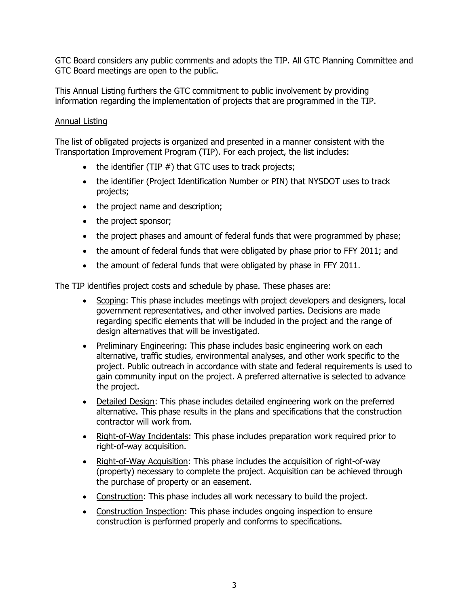GTC Board considers any public comments and adopts the TIP. All GTC Planning Committee and GTC Board meetings are open to the public.

This Annual Listing furthers the GTC commitment to public involvement by providing information regarding the implementation of projects that are programmed in the TIP.

## Annual Listing

The list of obligated projects is organized and presented in a manner consistent with the Transportation Improvement Program (TIP). For each project, the list includes:

- $\bullet$  the identifier (TIP  $#$ ) that GTC uses to track projects;
- the identifier (Project Identification Number or PIN) that NYSDOT uses to track projects;
- the project name and description;
- the project sponsor;
- the project phases and amount of federal funds that were programmed by phase;
- the amount of federal funds that were obligated by phase prior to FFY 2011; and
- the amount of federal funds that were obligated by phase in FFY 2011.

The TIP identifies project costs and schedule by phase. These phases are:

- Scoping: This phase includes meetings with project developers and designers, local government representatives, and other involved parties. Decisions are made regarding specific elements that will be included in the project and the range of design alternatives that will be investigated.
- Preliminary Engineering: This phase includes basic engineering work on each alternative, traffic studies, environmental analyses, and other work specific to the project. Public outreach in accordance with state and federal requirements is used to gain community input on the project. A preferred alternative is selected to advance the project.
- Detailed Design: This phase includes detailed engineering work on the preferred alternative. This phase results in the plans and specifications that the construction contractor will work from.
- Right-of-Way Incidentals: This phase includes preparation work required prior to right-of-way acquisition.
- Right-of-Way Acquisition: This phase includes the acquisition of right-of-way (property) necessary to complete the project. Acquisition can be achieved through the purchase of property or an easement.
- Construction: This phase includes all work necessary to build the project.
- Construction Inspection: This phase includes ongoing inspection to ensure construction is performed properly and conforms to specifications.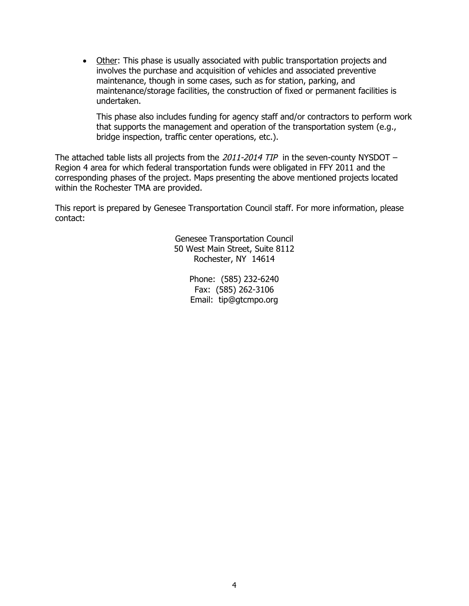Other: This phase is usually associated with public transportation projects and involves the purchase and acquisition of vehicles and associated preventive maintenance, though in some cases, such as for station, parking, and maintenance/storage facilities, the construction of fixed or permanent facilities is undertaken.

This phase also includes funding for agency staff and/or contractors to perform work that supports the management and operation of the transportation system (e.g., bridge inspection, traffic center operations, etc.).

The attached table lists all projects from the  $2011$ - $2014$  TIP in the seven-county NYSDOT – Region 4 area for which federal transportation funds were obligated in FFY 2011 and the corresponding phases of the project. Maps presenting the above mentioned projects located within the Rochester TMA are provided.

This report is prepared by Genesee Transportation Council staff. For more information, please contact:

> Genesee Transportation Council 50 West Main Street, Suite 8112 Rochester, NY 14614

> > Phone: (585) 232-6240 Fax: (585) 262-3106 Email: tip@gtcmpo.org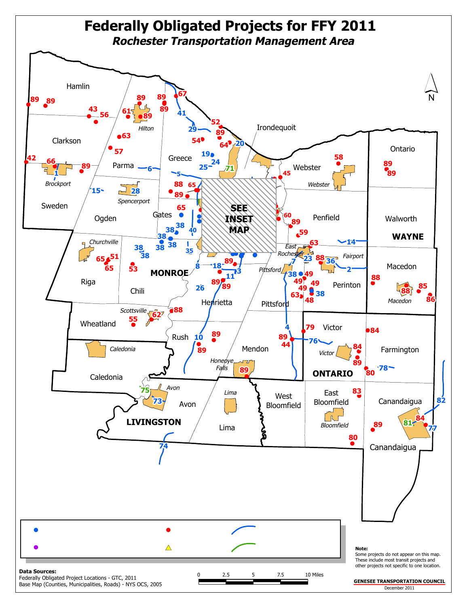